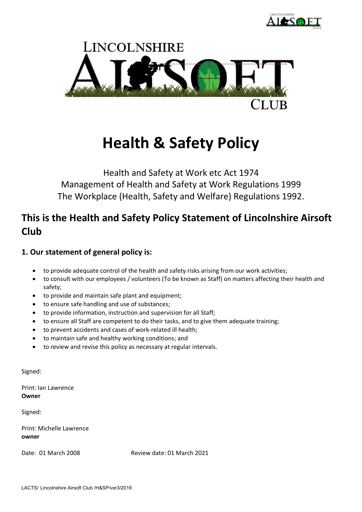



# **Health & Safety Policy**

Health and Safety at Work etc Act 1974 Management of Health and Safety at Work Regulations 1999 The Workplace (Health, Safety and Welfare) Regulations 1992.

## **This is the Health and Safety Policy Statement of Lincolnshire Airsoft Club**

## **1. Our statement of general policy is:**

- to provide adequate control of the health and safety risks arising from our work activities;
- to consult with our employees / volunteers (To be known as Staff) on matters affecting their health and safety;
- to provide and maintain safe plant and equipment;
- to ensure safe handling and use of substances;
- to provide information, instruction and supervision for all Staff;
- to ensure all Staff are competent to do their tasks, and to give them adequate training;
- to prevent accidents and cases of work-related ill health;
- to maintain safe and healthy working conditions; and
- to review and revise this policy as necessary at regular intervals.

Signed:

Print: Ian Lawrence **Owner**

Signed:

Print: Michelle Lawrence **owner**

Date: 01 March 2008 Review date: 01 March 2021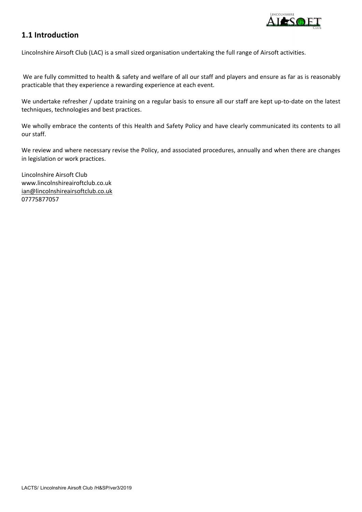

## **1.1 Introduction**

Lincolnshire Airsoft Club (LAC) is a small sized organisation undertaking the full range of Airsoft activities.

We are fully committed to health & safety and welfare of all our staff and players and ensure as far as is reasonably practicable that they experience a rewarding experience at each event.

We undertake refresher / update training on a regular basis to ensure all our staff are kept up-to-date on the latest techniques, technologies and best practices.

We wholly embrace the contents of this Health and Safety Policy and have clearly communicated its contents to all our staff.

We review and where necessary revise the Policy, and associated procedures, annually and when there are changes in legislation or work practices.

Lincolnshire Airsoft Club www.lincolnshireairoftclub.co.uk [ian@lincolnshireairsoftclub.co.uk](mailto:ian@lincolnshireairsoftclub.co.uk) 07775877057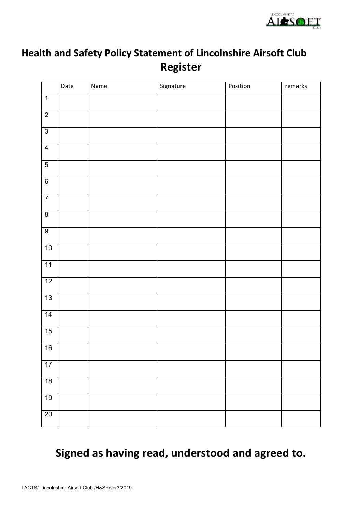

## **Health and Safety Policy Statement of Lincolnshire Airsoft Club Register**

|                 | Date | Name | Signature | Position | remarks |
|-----------------|------|------|-----------|----------|---------|
| $\overline{1}$  |      |      |           |          |         |
| $\overline{2}$  |      |      |           |          |         |
| $\overline{3}$  |      |      |           |          |         |
| $\overline{4}$  |      |      |           |          |         |
| $\overline{5}$  |      |      |           |          |         |
| $\overline{6}$  |      |      |           |          |         |
| $\overline{7}$  |      |      |           |          |         |
| $\overline{8}$  |      |      |           |          |         |
| $\overline{9}$  |      |      |           |          |         |
| 10              |      |      |           |          |         |
| 11              |      |      |           |          |         |
| 12              |      |      |           |          |         |
| 13              |      |      |           |          |         |
| $\overline{14}$ |      |      |           |          |         |
| 15              |      |      |           |          |         |
| 16              |      |      |           |          |         |
| 17              |      |      |           |          |         |
| 18              |      |      |           |          |         |
| 19              |      |      |           |          |         |
| 20              |      |      |           |          |         |

## **Signed as having read, understood and agreed to.**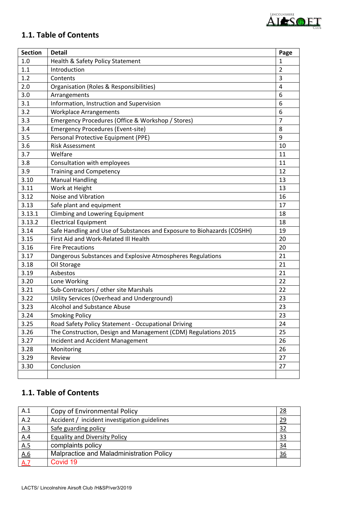

## **1.1. Table of Contents**

| <b>Section</b> | <b>Detail</b>                                                          | Page           |
|----------------|------------------------------------------------------------------------|----------------|
| 1.0            | Health & Safety Policy Statement                                       | 1              |
| 1.1            | Introduction                                                           | $\overline{2}$ |
| 1.2            | Contents                                                               | 3              |
| 2.0            | Organisation (Roles & Responsibilities)                                | 4              |
| 3.0            | Arrangements                                                           | 6              |
| 3.1            | Information, Instruction and Supervision                               | 6              |
| 3.2            | <b>Workplace Arrangements</b>                                          | 6              |
| 3.3            | Emergency Procedures (Office & Workshop / Stores)                      | $\overline{7}$ |
| 3.4            | <b>Emergency Procedures (Event-site)</b>                               | 8              |
| 3.5            | Personal Protective Equipment (PPE)                                    | 9              |
| 3.6            | <b>Risk Assessment</b>                                                 | 10             |
| 3.7            | Welfare                                                                | 11             |
| 3.8            | Consultation with employees                                            | 11             |
| 3.9            | <b>Training and Competency</b>                                         | 12             |
| 3.10           | <b>Manual Handling</b>                                                 | 13             |
| 3.11           | Work at Height                                                         | 13             |
| 3.12           | Noise and Vibration                                                    | 16             |
| 3.13           | Safe plant and equipment                                               | 17             |
| 3.13.1         | <b>Climbing and Lowering Equipment</b>                                 | 18             |
| 3.13.2         | <b>Electrical Equipment</b>                                            | 18             |
| 3.14           | Safe Handling and Use of Substances and Exposure to Biohazards (COSHH) | 19             |
| 3.15           | First Aid and Work-Related III Health                                  | 20             |
| 3.16           | <b>Fire Precautions</b>                                                | 20             |
| 3.17           | Dangerous Substances and Explosive Atmospheres Regulations             | 21             |
| 3.18           | Oil Storage                                                            | 21             |
| 3.19           | Asbestos                                                               | 21             |
| 3.20           | Lone Working                                                           | 22             |
| 3.21           | Sub-Contractors / other site Marshals                                  | 22             |
| 3.22           | Utility Services (Overhead and Underground)                            | 23             |
| 3.23           | <b>Alcohol and Substance Abuse</b>                                     | 23             |
| 3.24           | <b>Smoking Policy</b>                                                  | 23             |
| 3.25           | Road Safety Policy Statement - Occupational Driving                    | 24             |
| 3.26           | The Construction, Design and Management (CDM) Regulations 2015         | 25             |
| 3.27           | <b>Incident and Accident Management</b>                                | 26             |
| 3.28           | Monitoring                                                             | 26             |
| 3.29           | Review                                                                 | 27             |
| 3.30           | Conclusion                                                             | 27             |
|                |                                                                        |                |

## **1.1. Table of Contents**

| A.1 | Copy of Environmental Policy                 | 28        |
|-----|----------------------------------------------|-----------|
| A.2 | Accident / incident investigation guidelines | <u>29</u> |
| A.3 | Safe guarding policy                         | 32        |
| A.4 | <b>Equality and Diversity Policy</b>         | <u>33</u> |
| A.5 | complaints policy                            | 34        |
| A.6 | Malpractice and Maladministration Policy     | 36        |
| A.7 | Covid 19                                     |           |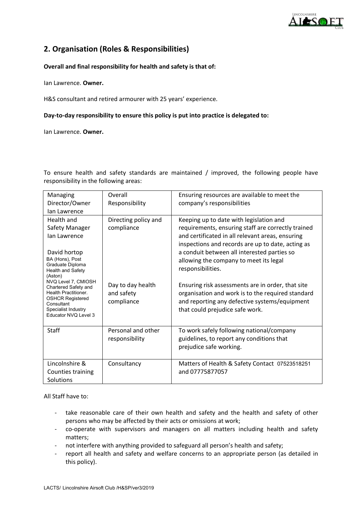

## **2. Organisation (Roles & Responsibilities)**

#### **Overall and final responsibility for health and safety is that of:**

Ian Lawrence. **Owner.**

H&S consultant and retired armourer with 25 years' experience.

#### **Day-to-day responsibility to ensure this policy is put into practice is delegated to:**

Ian Lawrence. **Owner.**

To ensure health and safety standards are maintained / improved, the following people have responsibility in the following areas:

| Managing                                        | Overall              | Ensuring resources are available to meet the       |
|-------------------------------------------------|----------------------|----------------------------------------------------|
| Director/Owner                                  | Responsibility       | company's responsibilities                         |
| lan Lawrence                                    |                      |                                                    |
| Health and                                      | Directing policy and | Keeping up to date with legislation and            |
| Safety Manager                                  | compliance           | requirements, ensuring staff are correctly trained |
| lan Lawrence                                    |                      | and certificated in all relevant areas, ensuring   |
|                                                 |                      | inspections and records are up to date, acting as  |
| David hortop                                    |                      | a conduit between all interested parties so        |
| BA (Hons), Post<br>Graduate Diploma             |                      | allowing the company to meet its legal             |
| <b>Health and Safety</b>                        |                      | responsibilities.                                  |
| (Aston)<br>NVQ Level 7, CMIOSH                  |                      |                                                    |
| Chartered Safety and                            | Day to day health    | Ensuring risk assessments are in order, that site  |
| Health Practitioner.<br><b>OSHCR Registered</b> | and safety           | organisation and work is to the required standard  |
| Consultant                                      | compliance           | and reporting any defective systems/equipment      |
| Specialist Industry<br>Educator NVO Level 3     |                      | that could prejudice safe work.                    |
|                                                 |                      |                                                    |
| Staff                                           | Personal and other   | To work safely following national/company          |
|                                                 | responsibility       | guidelines, to report any conditions that          |
|                                                 |                      | prejudice safe working.                            |
|                                                 |                      |                                                    |
| Lincolnshire &                                  | Consultancy          | Matters of Health & Safety Contact 07523518251     |
| Counties training                               |                      | and 07775877057                                    |
| Solutions                                       |                      |                                                    |

All Staff have to:

- take reasonable care of their own health and safety and the health and safety of other persons who may be affected by their acts or omissions at work;
- co-operate with supervisors and managers on all matters including health and safety matters;
- not interfere with anything provided to safeguard all person's health and safety;
- report all health and safety and welfare concerns to an appropriate person (as detailed in this policy).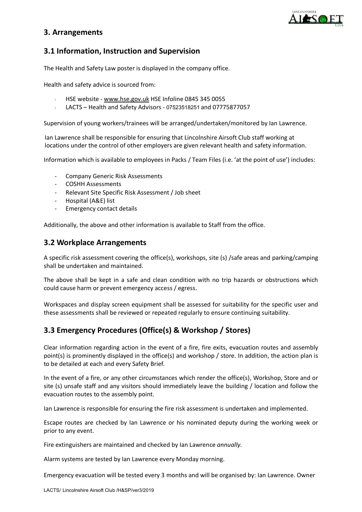

## **3. Arrangements**

## **3.1 Information, Instruction and Supervision**

The Health and Safety Law poster is displayed in the company office.

Health and safety advice is sourced from:

- HSE website [www.hse.gov.uk](http://www.hse.gov.uk/) HSE Infoline 0845 345 0055
- LACTS Health and Safety Advisors 07523518251 and 07775877057

Supervision of young workers/trainees will be arranged/undertaken/monitored by Ian Lawrence.

Ian Lawrence shall be responsible for ensuring that Lincolnshire Airsoft Club staff working at locations under the control of other employers are given relevant health and safety information.

Information which is available to employees in Packs / Team Files (i.e. 'at the point of use') includes:

- Company Generic Risk Assessments
- COSHH Assessments
- Relevant Site Specific Risk Assessment / Job sheet
- Hospital (A&E) list
- Emergency contact details

Additionally, the above and other information is available to Staff from the office.

## **3.2 Workplace Arrangements**

A specific risk assessment covering the office(s), workshops, site (s) /safe areas and parking/camping shall be undertaken and maintained.

The above shall be kept in a safe and clean condition with no trip hazards or obstructions which could cause harm or prevent emergency access / egress.

Workspaces and display screen equipment shall be assessed for suitability for the specific user and these assessments shall be reviewed or repeated regularly to ensure continuing suitability.

## **3.3 Emergency Procedures (Office(s) & Workshop / Stores)**

Clear information regarding action in the event of a fire, fire exits, evacuation routes and assembly point(s) is prominently displayed in the office(s) and workshop / store. In addition, the action plan is to be detailed at each and every Safety Brief.

In the event of a fire, or any other circumstances which render the office(s), Workshop, Store and or site (s) unsafe staff and any visitors should immediately leave the building / location and follow the evacuation routes to the assembly point.

Ian Lawrence is responsible for ensuring the fire risk assessment is undertaken and implemented.

Escape routes are checked by Ian Lawrence or his nominated deputy during the working week or prior to any event.

Fire extinguishers are maintained and checked by Ian Lawrence *annually.*

Alarm systems are tested by Ian Lawrence every Monday morning.

Emergency evacuation will be tested every 3 months and will be organised by: Ian Lawrence. Owner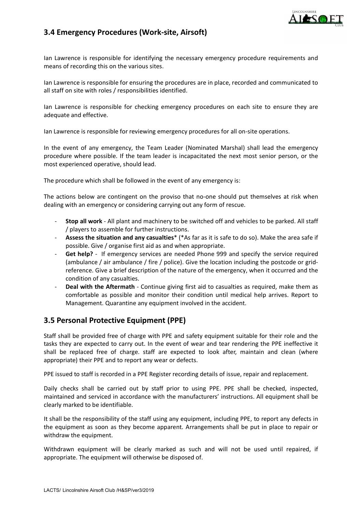

## **3.4 Emergency Procedures (Work-site, Airsoft)**

Ian Lawrence is responsible for identifying the necessary emergency procedure requirements and means of recording this on the various sites.

Ian Lawrence is responsible for ensuring the procedures are in place, recorded and communicated to all staff on site with roles / responsibilities identified.

Ian Lawrence is responsible for checking emergency procedures on each site to ensure they are adequate and effective.

Ian Lawrence is responsible for reviewing emergency procedures for all on-site operations.

In the event of any emergency, the Team Leader (Nominated Marshal) shall lead the emergency procedure where possible. If the team leader is incapacitated the next most senior person, or the most experienced operative, should lead.

The procedure which shall be followed in the event of any emergency is:

The actions below are contingent on the proviso that no-one should put themselves at risk when dealing with an emergency or considering carrying out any form of rescue.

- **Stop all work** All plant and machinery to be switched off and vehicles to be parked. All staff / players to assemble for further instructions.
- **Assess the situation and any casualties**\* (\*As far as it is safe to do so). Make the area safe if possible. Give / organise first aid as and when appropriate.
- Get help? If emergency services are needed Phone 999 and specify the service required (ambulance / air ambulance / fire / police). Give the location including the postcode or gridreference. Give a brief description of the nature of the emergency, when it occurred and the condition of any casualties.
- Deal with the Aftermath Continue giving first aid to casualties as required, make them as comfortable as possible and monitor their condition until medical help arrives. Report to Management. Quarantine any equipment involved in the accident.

## **3.5 Personal Protective Equipment (PPE)**

Staff shall be provided free of charge with PPE and safety equipment suitable for their role and the tasks they are expected to carry out. In the event of wear and tear rendering the PPE ineffective it shall be replaced free of charge. staff are expected to look after, maintain and clean (where appropriate) their PPE and to report any wear or defects.

PPE issued to staff is recorded in a PPE Register recording details of issue, repair and replacement.

Daily checks shall be carried out by staff prior to using PPE. PPE shall be checked, inspected, maintained and serviced in accordance with the manufacturers' instructions. All equipment shall be clearly marked to be identifiable.

It shall be the responsibility of the staff using any equipment, including PPE, to report any defects in the equipment as soon as they become apparent. Arrangements shall be put in place to repair or withdraw the equipment.

Withdrawn equipment will be clearly marked as such and will not be used until repaired, if appropriate. The equipment will otherwise be disposed of.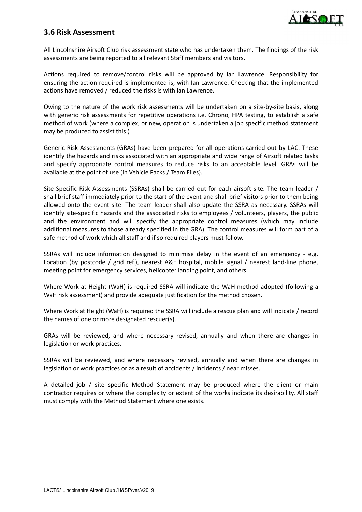

## **3.6 Risk Assessment**

All Lincolnshire Airsoft Club risk assessment state who has undertaken them. The findings of the risk assessments are being reported to all relevant Staff members and visitors.

Actions required to remove/control risks will be approved by Ian Lawrence. Responsibility for ensuring the action required is implemented is, with Ian Lawrence. Checking that the implemented actions have removed / reduced the risks is with Ian Lawrence.

Owing to the nature of the work risk assessments will be undertaken on a site-by-site basis, along with generic risk assessments for repetitive operations i.e. Chrono, HPA testing, to establish a safe method of work (where a complex, or new, operation is undertaken a job specific method statement may be produced to assist this.)

Generic Risk Assessments (GRAs) have been prepared for all operations carried out by LAC. These identify the hazards and risks associated with an appropriate and wide range of Airsoft related tasks and specify appropriate control measures to reduce risks to an acceptable level. GRAs will be available at the point of use (in Vehicle Packs / Team Files).

Site Specific Risk Assessments (SSRAs) shall be carried out for each airsoft site. The team leader / shall brief staff immediately prior to the start of the event and shall brief visitors prior to them being allowed onto the event site. The team leader shall also update the SSRA as necessary. SSRAs will identify site-specific hazards and the associated risks to employees / volunteers, players, the public and the environment and will specify the appropriate control measures (which may include additional measures to those already specified in the GRA). The control measures will form part of a safe method of work which all staff and if so required players must follow.

SSRAs will include information designed to minimise delay in the event of an emergency - e.g. Location (by postcode / grid ref.), nearest A&E hospital, mobile signal / nearest land-line phone, meeting point for emergency services, helicopter landing point, and others.

Where Work at Height (WaH) is required SSRA will indicate the WaH method adopted (following a WaH risk assessment) and provide adequate justification for the method chosen.

Where Work at Height (WaH) is required the SSRA will include a rescue plan and will indicate / record the names of one or more designated rescuer(s).

GRAs will be reviewed, and where necessary revised, annually and when there are changes in legislation or work practices.

SSRAs will be reviewed, and where necessary revised, annually and when there are changes in legislation or work practices or as a result of accidents / incidents / near misses.

A detailed job / site specific Method Statement may be produced where the client or main contractor requires or where the complexity or extent of the works indicate its desirability. All staff must comply with the Method Statement where one exists.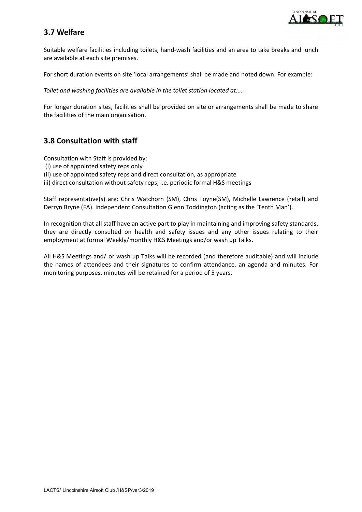

## **3.7 Welfare**

Suitable welfare facilities including toilets, hand-wash facilities and an area to take breaks and lunch are available at each site premises.

For short duration events on site 'local arrangements' shall be made and noted down. For example:

*Toilet and washing facilities are available in the toilet station located at:….*

For longer duration sites, facilities shall be provided on site or arrangements shall be made to share the facilities of the main organisation.

## **3.8 Consultation with staff**

Consultation with Staff is provided by:

- (i) use of appointed safety reps only
- (ii) use of appointed safety reps and direct consultation, as appropriate

iii) direct consultation without safety reps, i.e. periodic formal H&S meetings

Staff representative(s) are: Chris Watchorn (SM), Chris Toyne(SM), Michelle Lawrence (retail) and Derryn Bryne (FA). Independent Consultation Glenn Toddington (acting as the 'Tenth Man').

In recognition that all staff have an active part to play in maintaining and improving safety standards, they are directly consulted on health and safety issues and any other issues relating to their employment at formal Weekly/monthly H&S Meetings and/or wash up Talks.

All H&S Meetings and/ or wash up Talks will be recorded (and therefore auditable) and will include the names of attendees and their signatures to confirm attendance, an agenda and minutes. For monitoring purposes, minutes will be retained for a period of 5 years.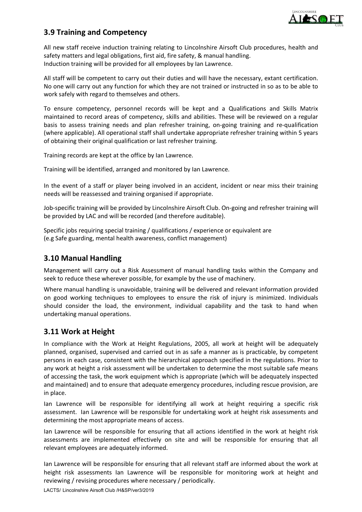

## **3.9 Training and Competency**

All new staff receive induction training relating to Lincolnshire Airsoft Club procedures, health and safety matters and legal obligations, first aid, fire safety, & manual handling. Induction training will be provided for all employees by Ian Lawrence.

All staff will be competent to carry out their duties and will have the necessary, extant certification. No one will carry out any function for which they are not trained or instructed in so as to be able to work safely with regard to themselves and others.

To ensure competency, personnel records will be kept and a Qualifications and Skills Matrix maintained to record areas of competency, skills and abilities. These will be reviewed on a regular basis to assess training needs and plan refresher training, on-going training and re-qualification (where applicable). All operational staff shall undertake appropriate refresher training within 5 years of obtaining their original qualification or last refresher training.

Training records are kept at the office by Ian Lawrence.

Training will be identified, arranged and monitored by Ian Lawrence.

In the event of a staff or player being involved in an accident, incident or near miss their training needs will be reassessed and training organised if appropriate.

Job-specific training will be provided by Lincolnshire Airsoft Club. On-going and refresher training will be provided by LAC and will be recorded (and therefore auditable).

Specific jobs requiring special training / qualifications / experience or equivalent are (e.g Safe guarding, mental health awareness, conflict management)

## **3.10 Manual Handling**

Management will carry out a Risk Assessment of manual handling tasks within the Company and seek to reduce these wherever possible, for example by the use of machinery.

Where manual handling is unavoidable, training will be delivered and relevant information provided on good working techniques to employees to ensure the risk of injury is minimized. Individuals should consider the load, the environment, individual capability and the task to hand when undertaking manual operations.

## **3.11 Work at Height**

In compliance with the Work at Height Regulations, 2005, all work at height will be adequately planned, organised, supervised and carried out in as safe a manner as is practicable, by competent persons in each case, consistent with the hierarchical approach specified in the regulations. Prior to any work at height a risk assessment will be undertaken to determine the most suitable safe means of accessing the task, the work equipment which is appropriate (which will be adequately inspected and maintained) and to ensure that adequate emergency procedures, including rescue provision, are in place.

Ian Lawrence will be responsible for identifying all work at height requiring a specific risk assessment. Ian Lawrence will be responsible for undertaking work at height risk assessments and determining the most appropriate means of access.

Ian Lawrence will be responsible for ensuring that all actions identified in the work at height risk assessments are implemented effectively on site and will be responsible for ensuring that all relevant employees are adequately informed.

Ian Lawrence will be responsible for ensuring that all relevant staff are informed about the work at height risk assessments Ian Lawrence will be responsible for monitoring work at height and reviewing / revising procedures where necessary / periodically.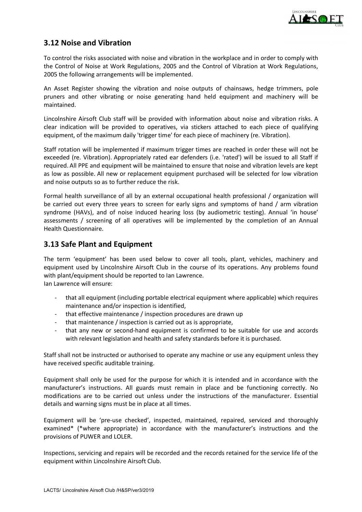

## **3.12 Noise and Vibration**

To control the risks associated with noise and vibration in the workplace and in order to comply with the Control of Noise at Work Regulations, 2005 and the Control of Vibration at Work Regulations, 2005 the following arrangements will be implemented.

An Asset Register showing the vibration and noise outputs of chainsaws, hedge trimmers, pole pruners and other vibrating or noise generating hand held equipment and machinery will be maintained.

Lincolnshire Airsoft Club staff will be provided with information about noise and vibration risks. A clear indication will be provided to operatives, via stickers attached to each piece of qualifying equipment, of the maximum daily 'trigger time' for each piece of machinery (re. Vibration).

Staff rotation will be implemented if maximum trigger times are reached in order these will not be exceeded (re. Vibration). Appropriately rated ear defenders (i.e. 'rated') will be issued to all Staff if required. All PPE and equipment will be maintained to ensure that noise and vibration levels are kept as low as possible. All new or replacement equipment purchased will be selected for low vibration and noise outputs so as to further reduce the risk.

Formal health surveillance of all by an external occupational health professional / organization will be carried out every three years to screen for early signs and symptoms of hand / arm vibration syndrome (HAVs), and of noise induced hearing loss (by audiometric testing). Annual 'in house' assessments / screening of all operatives will be implemented by the completion of an Annual Health Questionnaire.

## **3.13 Safe Plant and Equipment**

The term 'equipment' has been used below to cover all tools, plant, vehicles, machinery and equipment used by Lincolnshire Airsoft Club in the course of its operations. Any problems found with plant/equipment should be reported to Ian Lawrence.

Ian Lawrence will ensure:

- that all equipment (including portable electrical equipment where applicable) which requires maintenance and/or inspection is identified,
- that effective maintenance / inspection procedures are drawn up
- that maintenance / inspection is carried out as is appropriate,
- that any new or second-hand equipment is confirmed to be suitable for use and accords with relevant legislation and health and safety standards before it is purchased.

Staff shall not be instructed or authorised to operate any machine or use any equipment unless they have received specific auditable training.

Equipment shall only be used for the purpose for which it is intended and in accordance with the manufacturer's instructions. All guards must remain in place and be functioning correctly. No modifications are to be carried out unless under the instructions of the manufacturer. Essential details and warning signs must be in place at all times.

Equipment will be 'pre-use checked', inspected, maintained, repaired, serviced and thoroughly examined\* (\*where appropriate) in accordance with the manufacturer's instructions and the provisions of PUWER and LOLER.

Inspections, servicing and repairs will be recorded and the records retained for the service life of the equipment within Lincolnshire Airsoft Club.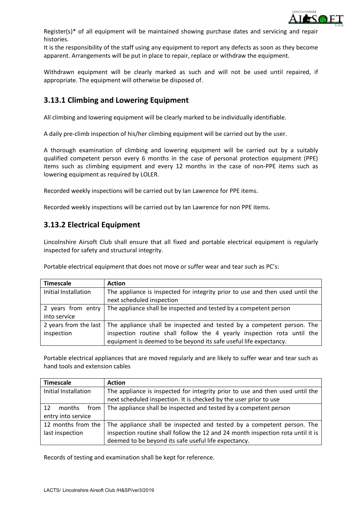

Register(s)\* of all equipment will be maintained showing purchase dates and servicing and repair histories.

It is the responsibility of the staff using any equipment to report any defects as soon as they become apparent. Arrangements will be put in place to repair, replace or withdraw the equipment.

Withdrawn equipment will be clearly marked as such and will not be used until repaired, if appropriate. The equipment will otherwise be disposed of.

## **3.13.1 Climbing and Lowering Equipment**

All climbing and lowering equipment will be clearly marked to be individually identifiable.

A daily pre-climb inspection of his/her climbing equipment will be carried out by the user.

A thorough examination of climbing and lowering equipment will be carried out by a suitably qualified competent person every 6 months in the case of personal protection equipment (PPE) items such as climbing equipment and every 12 months in the case of non-PPE items such as lowering equipment as required by LOLER.

Recorded weekly inspections will be carried out by Ian Lawrence for PPE items.

Recorded weekly inspections will be carried out by Ian Lawrence for non PPE items.

## **3.13.2 Electrical Equipment**

Lincolnshire Airsoft Club shall ensure that all fixed and portable electrical equipment is regularly inspected for safety and structural integrity.

Portable electrical equipment that does not move or suffer wear and tear such as PC's:

| <b>Timescale</b>      | <b>Action</b>                                                                 |
|-----------------------|-------------------------------------------------------------------------------|
| Initial Installation  | The appliance is inspected for integrity prior to use and then used until the |
|                       | next scheduled inspection                                                     |
| 2 years from entry    | The appliance shall be inspected and tested by a competent person             |
| into service          |                                                                               |
| 2 years from the last | The appliance shall be inspected and tested by a competent person. The        |
| inspection            | inspection routine shall follow the 4 yearly inspection rota until the        |
|                       | equipment is deemed to be beyond its safe useful life expectancy.             |

Portable electrical appliances that are moved regularly and are likely to suffer wear and tear such as hand tools and extension cables

| <b>Timescale</b>     | <b>Action</b>                                                                   |  |
|----------------------|---------------------------------------------------------------------------------|--|
| Initial Installation | The appliance is inspected for integrity prior to use and then used until the   |  |
|                      | next scheduled inspection. It is checked by the user prior to use               |  |
| 12<br>months<br>from | The appliance shall be inspected and tested by a competent person               |  |
| entry into service   |                                                                                 |  |
| 12 months from the   | The appliance shall be inspected and tested by a competent person. The          |  |
| last inspection      | inspection routine shall follow the 12 and 24 month inspection rota until it is |  |
|                      | deemed to be beyond its safe useful life expectancy.                            |  |

Records of testing and examination shall be kept for reference.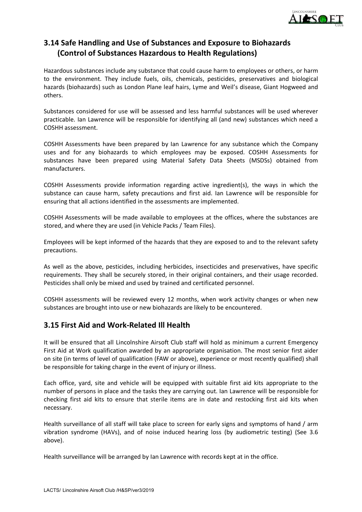

## **3.14 Safe Handling and Use of Substances and Exposure to Biohazards (Control of Substances Hazardous to Health Regulations)**

Hazardous substances include any substance that could cause harm to employees or others, or harm to the environment. They include fuels, oils, chemicals, pesticides, preservatives and biological hazards (biohazards) such as London Plane leaf hairs, Lyme and Weil's disease, Giant Hogweed and others.

Substances considered for use will be assessed and less harmful substances will be used wherever practicable. Ian Lawrence will be responsible for identifying all (and new) substances which need a COSHH assessment.

COSHH Assessments have been prepared by Ian Lawrence for any substance which the Company uses and for any biohazards to which employees may be exposed. COSHH Assessments for substances have been prepared using Material Safety Data Sheets (MSDSs) obtained from manufacturers.

COSHH Assessments provide information regarding active ingredient(s), the ways in which the substance can cause harm, safety precautions and first aid. Ian Lawrence will be responsible for ensuring that all actions identified in the assessments are implemented.

COSHH Assessments will be made available to employees at the offices, where the substances are stored, and where they are used (in Vehicle Packs / Team Files).

Employees will be kept informed of the hazards that they are exposed to and to the relevant safety precautions.

As well as the above, pesticides, including herbicides, insecticides and preservatives, have specific requirements. They shall be securely stored, in their original containers, and their usage recorded. Pesticides shall only be mixed and used by trained and certificated personnel.

COSHH assessments will be reviewed every 12 months, when work activity changes or when new substances are brought into use or new biohazards are likely to be encountered.

## **3.15 First Aid and Work-Related Ill Health**

It will be ensured that all Lincolnshire Airsoft Club staff will hold as minimum a current Emergency First Aid at Work qualification awarded by an appropriate organisation. The most senior first aider on site (in terms of level of qualification (FAW or above), experience or most recently qualified) shall be responsible for taking charge in the event of injury or illness.

Each office, yard, site and vehicle will be equipped with suitable first aid kits appropriate to the number of persons in place and the tasks they are carrying out. Ian Lawrence will be responsible for checking first aid kits to ensure that sterile items are in date and restocking first aid kits when necessary.

Health surveillance of all staff will take place to screen for early signs and symptoms of hand / arm vibration syndrome (HAVs), and of noise induced hearing loss (by audiometric testing) (See 3.6 above).

Health surveillance will be arranged by Ian Lawrence with records kept at in the office.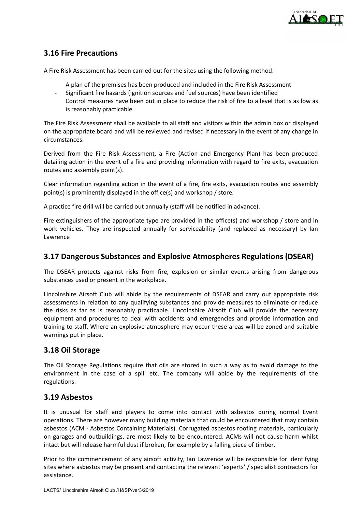

## **3.16 Fire Precautions**

A Fire Risk Assessment has been carried out for the sites using the following method:

- A plan of the premises has been produced and included in the Fire Risk Assessment
- Significant fire hazards (ignition sources and fuel sources) have been identified
- Control measures have been put in place to reduce the risk of fire to a level that is as low as is reasonably practicable

The Fire Risk Assessment shall be available to all staff and visitors within the admin box or displayed on the appropriate board and will be reviewed and revised if necessary in the event of any change in circumstances.

Derived from the Fire Risk Assessment, a Fire (Action and Emergency Plan) has been produced detailing action in the event of a fire and providing information with regard to fire exits, evacuation routes and assembly point(s).

Clear information regarding action in the event of a fire, fire exits, evacuation routes and assembly point(s) is prominently displayed in the office(s) and workshop / store.

A practice fire drill will be carried out annually (staff will be notified in advance).

Fire extinguishers of the appropriate type are provided in the office(s) and workshop / store and in work vehicles. They are inspected annually for serviceability (and replaced as necessary) by Ian Lawrence

## **3.17 Dangerous Substances and Explosive Atmospheres Regulations (DSEAR)**

The DSEAR protects against risks from fire, explosion or similar events arising from dangerous substances used or present in the workplace.

Lincolnshire Airsoft Club will abide by the requirements of DSEAR and carry out appropriate risk assessments in relation to any qualifying substances and provide measures to eliminate or reduce the risks as far as is reasonably practicable. Lincolnshire Airsoft Club will provide the necessary equipment and procedures to deal with accidents and emergencies and provide information and training to staff. Where an explosive atmosphere may occur these areas will be zoned and suitable warnings put in place.

## **3.18 Oil Storage**

The Oil Storage Regulations require that oils are stored in such a way as to avoid damage to the environment in the case of a spill etc. The company will abide by the requirements of the regulations.

## **3.19 Asbestos**

It is unusual for staff and players to come into contact with asbestos during normal Event operations. There are however many building materials that could be encountered that may contain asbestos (ACM - Asbestos Containing Materials). Corrugated asbestos roofing materials, particularly on garages and outbuildings, are most likely to be encountered. ACMs will not cause harm whilst intact but will release harmful dust if broken, for example by a falling piece of timber.

Prior to the commencement of any airsoft activity, Ian Lawrence will be responsible for identifying sites where asbestos may be present and contacting the relevant 'experts' / specialist contractors for assistance.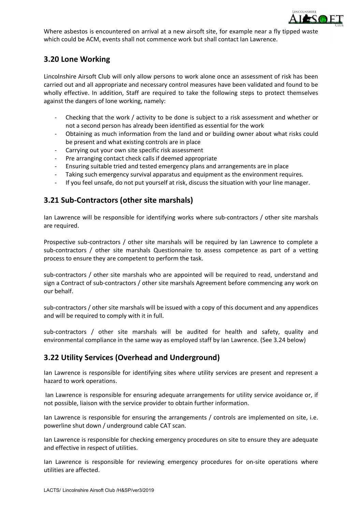

Where asbestos is encountered on arrival at a new airsoft site, for example near a fly tipped waste which could be ACM, events shall not commence work but shall contact Ian Lawrence.

## **3.20 Lone Working**

Lincolnshire Airsoft Club will only allow persons to work alone once an assessment of risk has been carried out and all appropriate and necessary control measures have been validated and found to be wholly effective. In addition, Staff are required to take the following steps to protect themselves against the dangers of lone working, namely:

- Checking that the work / activity to be done is subject to a risk assessment and whether or not a second person has already been identified as essential for the work
- Obtaining as much information from the land and or building owner about what risks could be present and what existing controls are in place
- Carrying out your own site specific risk assessment
- Pre arranging contact check calls if deemed appropriate
- Ensuring suitable tried and tested emergency plans and arrangements are in place
- Taking such emergency survival apparatus and equipment as the environment requires.
- If you feel unsafe, do not put yourself at risk, discuss the situation with your line manager.

## **3.21 Sub-Contractors (other site marshals)**

Ian Lawrence will be responsible for identifying works where sub-contractors / other site marshals are required.

Prospective sub-contractors / other site marshals will be required by Ian Lawrence to complete a sub-contractors / other site marshals Questionnaire to assess competence as part of a vetting process to ensure they are competent to perform the task.

sub-contractors / other site marshals who are appointed will be required to read, understand and sign a Contract of sub-contractors / other site marshals Agreement before commencing any work on our behalf.

sub-contractors / other site marshals will be issued with a copy of this document and any appendices and will be required to comply with it in full.

sub-contractors / other site marshals will be audited for health and safety, quality and environmental compliance in the same way as employed staff by Ian Lawrence. (See 3.24 below)

## **3.22 Utility Services (Overhead and Underground)**

Ian Lawrence is responsible for identifying sites where utility services are present and represent a hazard to work operations.

Ian Lawrence is responsible for ensuring adequate arrangements for utility service avoidance or, if not possible, liaison with the service provider to obtain further information.

Ian Lawrence is responsible for ensuring the arrangements / controls are implemented on site, i.e. powerline shut down / underground cable CAT scan.

Ian Lawrence is responsible for checking emergency procedures on site to ensure they are adequate and effective in respect of utilities.

Ian Lawrence is responsible for reviewing emergency procedures for on-site operations where utilities are affected.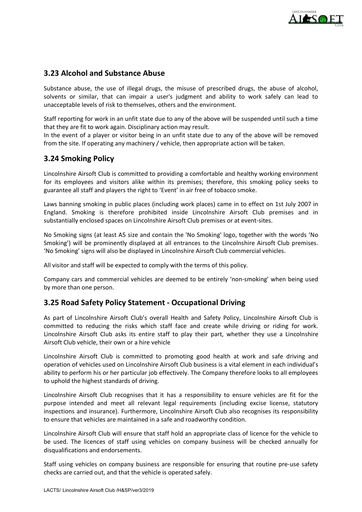

## **3.23 Alcohol and Substance Abuse**

Substance abuse, the use of illegal drugs, the misuse of prescribed drugs, the abuse of alcohol, solvents or similar, that can impair a user's judgment and ability to work safely can lead to unacceptable levels of risk to themselves, others and the environment.

Staff reporting for work in an unfit state due to any of the above will be suspended until such a time that they are fit to work again. Disciplinary action may result.

In the event of a player or visitor being in an unfit state due to any of the above will be removed from the site. If operating any machinery / vehicle, then appropriate action will be taken.

## **3.24 Smoking Policy**

Lincolnshire Airsoft Club is committed to providing a comfortable and healthy working environment for its employees and visitors alike within its premises; therefore, this smoking policy seeks to guarantee all staff and players the right to 'Event' in air free of tobacco smoke.

Laws banning smoking in public places (including work places) came in to effect on 1st July 2007 in England. Smoking is therefore prohibited inside Lincolnshire Airsoft Club premises and in substantially enclosed spaces on Lincolnshire Airsoft Club premises or at event-sites.

No Smoking signs (at least A5 size and contain the 'No Smoking' logo, together with the words 'No Smoking') will be prominently displayed at all entrances to the Lincolnshire Airsoft Club premises. 'No Smoking' signs will also be displayed in Lincolnshire Airsoft Club commercial vehicles.

All visitor and staff will be expected to comply with the terms of this policy.

Company cars and commercial vehicles are deemed to be entirely 'non-smoking' when being used by more than one person.

## **3.25 Road Safety Policy Statement - Occupational Driving**

As part of Lincolnshire Airsoft Club's overall Health and Safety Policy, Lincolnshire Airsoft Club is committed to reducing the risks which staff face and create while driving or riding for work. Lincolnshire Airsoft Club asks its entire staff to play their part, whether they use a Lincolnshire Airsoft Club vehicle, their own or a hire vehicle

Lincolnshire Airsoft Club is committed to promoting good health at work and safe driving and operation of vehicles used on Lincolnshire Airsoft Club business is a vital element in each individual's ability to perform his or her particular job effectively. The Company therefore looks to all employees to uphold the highest standards of driving.

Lincolnshire Airsoft Club recognises that it has a responsibility to ensure vehicles are fit for the purpose intended and meet all relevant legal requirements (including excise license, statutory inspections and insurance). Furthermore, Lincolnshire Airsoft Club also recognises its responsibility to ensure that vehicles are maintained in a safe and roadworthy condition.

Lincolnshire Airsoft Club will ensure that staff hold an appropriate class of licence for the vehicle to be used. The licences of staff using vehicles on company business will be checked annually for disqualifications and endorsements.

Staff using vehicles on company business are responsible for ensuring that routine pre-use safety checks are carried out, and that the vehicle is operated safely.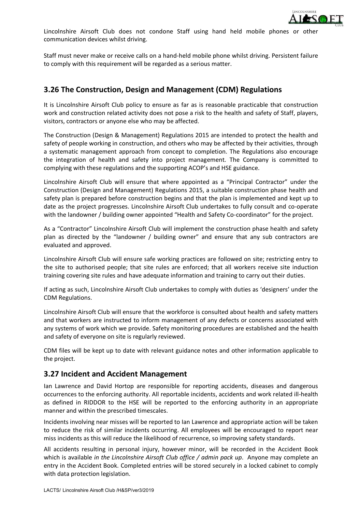

Lincolnshire Airsoft Club does not condone Staff using hand held mobile phones or other communication devices whilst driving.

Staff must never make or receive calls on a hand-held mobile phone whilst driving. Persistent failure to comply with this requirement will be regarded as a serious matter.

## **3.26 The Construction, Design and Management (CDM) Regulations**

It is Lincolnshire Airsoft Club policy to ensure as far as is reasonable practicable that construction work and construction related activity does not pose a risk to the health and safety of Staff, players, visitors, contractors or anyone else who may be affected.

The Construction (Design & Management) Regulations 2015 are intended to protect the health and safety of people working in construction, and others who may be affected by their activities, through a systematic management approach from concept to completion. The Regulations also encourage the integration of health and safety into project management. The Company is committed to complying with these regulations and the supporting ACOP's and HSE guidance.

Lincolnshire Airsoft Club will ensure that where appointed as a "Principal Contractor" under the Construction (Design and Management) Regulations 2015, a suitable construction phase health and safety plan is prepared before construction begins and that the plan is implemented and kept up to date as the project progresses. Lincolnshire Airsoft Club undertakes to fully consult and co-operate with the landowner / building owner appointed "Health and Safety Co-coordinator" for the project.

As a "Contractor" Lincolnshire Airsoft Club will implement the construction phase health and safety plan as directed by the "landowner / building owner" and ensure that any sub contractors are evaluated and approved.

Lincolnshire Airsoft Club will ensure safe working practices are followed on site; restricting entry to the site to authorised people; that site rules are enforced; that all workers receive site induction training covering site rules and have adequate information and training to carry out their duties.

If acting as such, Lincolnshire Airsoft Club undertakes to comply with duties as 'designers' under the CDM Regulations.

Lincolnshire Airsoft Club will ensure that the workforce is consulted about health and safety matters and that workers are instructed to inform management of any defects or concerns associated with any systems of work which we provide. Safety monitoring procedures are established and the health and safety of everyone on site is regularly reviewed.

CDM files will be kept up to date with relevant guidance notes and other information applicable to the project.

## **3.27 Incident and Accident Management**

Ian Lawrence and David Hortop are responsible for reporting accidents, diseases and dangerous occurrences to the enforcing authority. All reportable incidents, accidents and work related ill-health as defined in RIDDOR to the HSE will be reported to the enforcing authority in an appropriate manner and within the prescribed timescales.

Incidents involving near misses will be reported to Ian Lawrence and appropriate action will be taken to reduce the risk of similar incidents occurring. All employees will be encouraged to report near miss incidents as this will reduce the likelihood of recurrence, so improving safety standards.

All accidents resulting in personal injury, however minor, will be recorded in the Accident Book which is available *in the Lincolnshire Airsoft Club office / admin pack up*. Anyone may complete an entry in the Accident Book. Completed entries will be stored securely in a locked cabinet to comply with data protection legislation.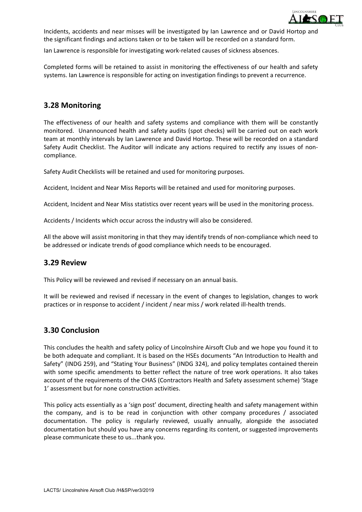

Incidents, accidents and near misses will be investigated by Ian Lawrence and or David Hortop and the significant findings and actions taken or to be taken will be recorded on a standard form.

Ian Lawrence is responsible for investigating work-related causes of sickness absences.

Completed forms will be retained to assist in monitoring the effectiveness of our health and safety systems. Ian Lawrence is responsible for acting on investigation findings to prevent a recurrence.

## **3.28 Monitoring**

The effectiveness of our health and safety systems and compliance with them will be constantly monitored. Unannounced health and safety audits (spot checks) will be carried out on each work team at monthly intervals by Ian Lawrence and David Hortop. These will be recorded on a standard Safety Audit Checklist. The Auditor will indicate any actions required to rectify any issues of noncompliance.

Safety Audit Checklists will be retained and used for monitoring purposes.

Accident, Incident and Near Miss Reports will be retained and used for monitoring purposes.

Accident, Incident and Near Miss statistics over recent years will be used in the monitoring process.

Accidents / Incidents which occur across the industry will also be considered.

All the above will assist monitoring in that they may identify trends of non-compliance which need to be addressed or indicate trends of good compliance which needs to be encouraged.

## **3.29 Review**

This Policy will be reviewed and revised if necessary on an annual basis.

It will be reviewed and revised if necessary in the event of changes to legislation, changes to work practices or in response to accident / incident / near miss / work related ill-health trends.

## **3.30 Conclusion**

This concludes the health and safety policy of Lincolnshire Airsoft Club and we hope you found it to be both adequate and compliant. It is based on the HSEs documents "An Introduction to Health and Safety" (INDG 259), and "Stating Your Business" (INDG 324), and policy templates contained therein with some specific amendments to better reflect the nature of tree work operations. It also takes account of the requirements of the CHAS (Contractors Health and Safety assessment scheme) 'Stage 1' assessment but for none construction activities.

This policy acts essentially as a 'sign post' document, directing health and safety management within the company, and is to be read in conjunction with other company procedures / associated documentation. The policy is regularly reviewed, usually annually, alongside the associated documentation but should you have any concerns regarding its content, or suggested improvements please communicate these to us...thank you.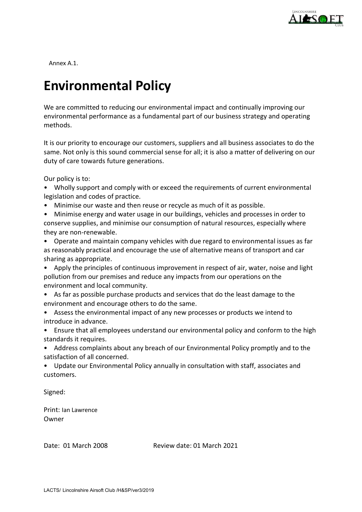

Annex A.1.

## **Environmental Policy**

We are committed to reducing our environmental impact and continually improving our environmental performance as a fundamental part of our business strategy and operating methods.

It is our priority to encourage our customers, suppliers and all business associates to do the same. Not only is this sound commercial sense for all; it is also a matter of delivering on our duty of care towards future generations.

Our policy is to:

- Wholly support and comply with or exceed the requirements of current environmental legislation and codes of practice.
- Minimise our waste and then reuse or recycle as much of it as possible.
- Minimise energy and water usage in our buildings, vehicles and processes in order to conserve supplies, and minimise our consumption of natural resources, especially where they are non-renewable.
- Operate and maintain company vehicles with due regard to environmental issues as far as reasonably practical and encourage the use of alternative means of transport and car sharing as appropriate.
- Apply the principles of continuous improvement in respect of air, water, noise and light pollution from our premises and reduce any impacts from our operations on the environment and local community.
- As far as possible purchase products and services that do the least damage to the environment and encourage others to do the same.
- Assess the environmental impact of any new processes or products we intend to introduce in advance.
- Ensure that all employees understand our environmental policy and conform to the high standards it requires.
- Address complaints about any breach of our Environmental Policy promptly and to the satisfaction of all concerned.
- Update our Environmental Policy annually in consultation with staff, associates and customers.

Signed:

Print: Ian Lawrence Owner

Date: 01 March 2008 Review date: 01 March 2021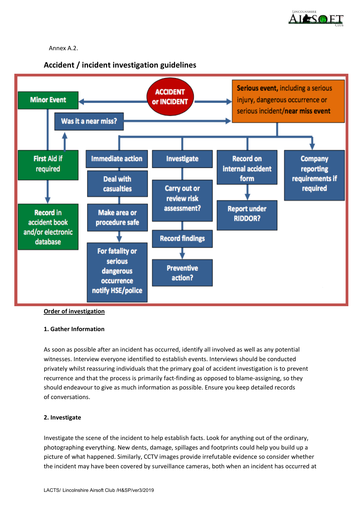

#### Annex A.2.





#### **Order of investigation**

#### **1. Gather Information**

As soon as possible after an incident has occurred, identify all involved as well as any potential witnesses. Interview everyone identified to establish events. Interviews should be conducted privately whilst reassuring individuals that the primary goal of accident investigation is to prevent recurrence and that the process is primarily fact-finding as opposed to blame-assigning, so they should endeavour to give as much information as possible. Ensure you keep detailed records of conversations.

#### **2. Investigate**

Investigate the scene of the incident to help establish facts. Look for anything out of the ordinary, photographing everything. New dents, damage, spillages and footprints could help you build up a picture of what happened. Similarly, CCTV images provide irrefutable evidence so consider whether the incident may have been covered by surveillance cameras, both when an incident has occurred at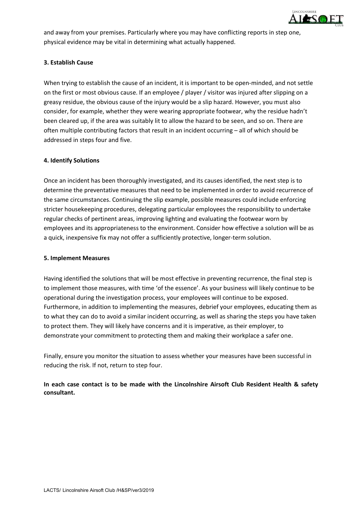

and away from your premises. Particularly where you may have conflicting reports in step one, physical evidence may be vital in determining what actually happened.

#### **3. Establish Cause**

When trying to establish the cause of an incident, it is important to be open-minded, and not settle on the first or most obvious cause. If an employee / player / visitor was injured after slipping on a greasy residue, the obvious cause of the injury would be a slip hazard. However, you must also consider, for example, whether they were wearing appropriate footwear, why the residue hadn't been cleared up, if the area was suitably lit to allow the hazard to be seen, and so on. There are often multiple contributing factors that result in an incident occurring – all of which should be addressed in steps four and five.

#### **4. Identify Solutions**

Once an incident has been thoroughly investigated, and its causes identified, the next step is to determine the preventative measures that need to be implemented in order to avoid recurrence of the same circumstances. Continuing the slip example, possible measures could include enforcing stricter housekeeping procedures, delegating particular employees the responsibility to undertake regular checks of pertinent areas, improving lighting and evaluating the footwear worn by employees and its appropriateness to the environment. Consider how effective a solution will be as a quick, inexpensive fix may not offer a sufficiently protective, longer-term solution.

#### **5. Implement Measures**

Having identified the solutions that will be most effective in preventing recurrence, the final step is to implement those measures, with time 'of the essence'. As your business will likely continue to be operational during the investigation process, your employees will continue to be exposed. Furthermore, in addition to implementing the measures, debrief your employees, educating them as to what they can do to avoid a similar incident occurring, as well as sharing the steps you have taken to protect them. They will likely have concerns and it is imperative, as their employer, to demonstrate your commitment to protecting them and making their workplace a safer one.

Finally, ensure you monitor the situation to assess whether your measures have been successful in reducing the risk. If not, return to step four.

**In each case contact is to be made with the Lincolnshire Airsoft Club Resident Health & safety consultant.**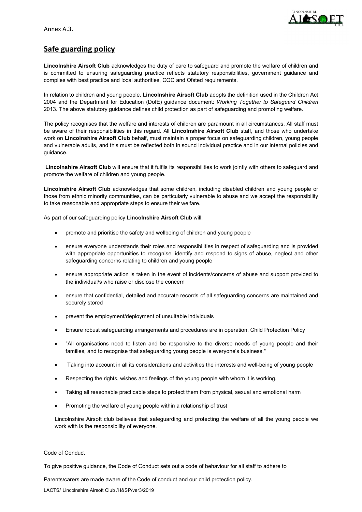

## **Safe guarding policy**

**Lincolnshire Airsoft Club** acknowledges the duty of care to safeguard and promote the welfare of children and is committed to ensuring safeguarding practice reflects statutory responsibilities, government guidance and complies with best practice and local authorities, CQC and Ofsted requirements.

In relation to children and young people, **Lincolnshire Airsoft Club** adopts the definition used in the Children Act 2004 and the Department for Education (DofE) guidance document: *Working Together to Safeguard Children* 2013. The above statutory guidance defines child protection as part of safeguarding and promoting welfare.

The policy recognises that the welfare and interests of children are paramount in all circumstances. All staff must be aware of their responsibilities in this regard. All **Lincolnshire Airsoft Club** staff, and those who undertake work on **Lincolnshire Airsoft Club** behalf, must maintain a proper focus on safeguarding children, young people and vulnerable adults, and this must be reflected both in sound individual practice and in our internal policies and guidance.

**Lincolnshire Airsoft Club** will ensure that it fulfils its responsibilities to work jointly with others to safeguard and promote the welfare of children and young people.

**Lincolnshire Airsoft Club** acknowledges that some children, including disabled children and young people or those from ethnic minority communities, can be particularly vulnerable to abuse and we accept the responsibility to take reasonable and appropriate steps to ensure their welfare.

As part of our safeguarding policy **Lincolnshire Airsoft Club** will:

- promote and prioritise the safety and wellbeing of children and young people
- ensure everyone understands their roles and responsibilities in respect of safeguarding and is provided with appropriate opportunities to recognise, identify and respond to signs of abuse, neglect and other safeguarding concerns relating to children and young people
- ensure appropriate action is taken in the event of incidents/concerns of abuse and support provided to the individual/s who raise or disclose the concern
- ensure that confidential, detailed and accurate records of all safeguarding concerns are maintained and securely stored
- prevent the employment/deployment of unsuitable individuals
- Ensure robust safeguarding arrangements and procedures are in operation. Child Protection Policy
- "All organisations need to listen and be responsive to the diverse needs of young people and their families, and to recognise that safeguarding young people is everyone's business."
- Taking into account in all its considerations and activities the interests and well-being of young people
- Respecting the rights, wishes and feelings of the young people with whom it is working.
- Taking all reasonable practicable steps to protect them from physical, sexual and emotional harm
- Promoting the welfare of young people within a relationship of trust

Lincolnshire Airsoft club believes that safeguarding and protecting the welfare of all the young people we work with is the responsibility of everyone.

#### Code of Conduct

To give positive guidance, the Code of Conduct sets out a code of behaviour for all staff to adhere to

Parents/carers are made aware of the Code of conduct and our child protection policy.

LACTS/ Lincolnshire Airsoft Club /H&SP/ver3/2019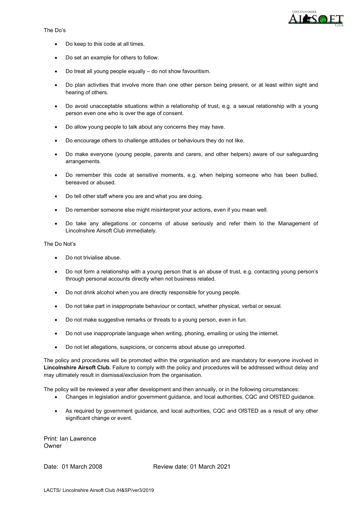



- Do keep to this code at all times.
- Do set an example for others to follow.
- Do treat all young people equally do not show favouritism.
- Do plan activities that involve more than one other person being present, or at least within sight and hearing of others.
- Do avoid unacceptable situations within a relationship of trust, e.g. a sexual relationship with a young person even one who is over the age of consent.
- Do allow young people to talk about any concerns they may have.
- Do encourage others to challenge attitudes or behaviours they do not like.
- Do make everyone (young people, parents and carers, and other helpers) aware of our safeguarding arrangements.
- Do remember this code at sensitive moments, e.g. when helping someone who has been bullied, bereaved or abused.
- Do tell other staff where you are and what you are doing.
- Do remember someone else might misinterpret your actions, even if you mean well.
- Do take any allegations or concerns of abuse seriously and refer them to the Management of Lincolnshire Airsoft Club immediately.

The Do Not's

- Do not trivialise abuse.
- Do not form a relationship with a young person that is an abuse of trust, e.g. contacting young person's through personal accounts directly when not business related.
- Do not drink alcohol when you are directly responsible for young people.
- Do not take part in inappropriate behaviour or contact, whether physical, verbal or sexual.
- Do not make suggestive remarks or threats to a young person, even in fun.
- Do not use inappropriate language when writing, phoning, emailing or using the internet.
- Do not let allegations, suspicions, or concerns about abuse go unreported.

The policy and procedures will be promoted within the organisation and are mandatory for everyone involved in **Lincolnshire Airsoft Club.** Failure to comply with the policy and procedures will be addressed without delay and may ultimately result in dismissal/exclusion from the organisation.

The policy will be reviewed a year after development and then annually, or in the following circumstances:

- Changes in legislation and/or government guidance, and local authorities, CQC and OfSTED guidance.
- As required by government guidance, and local authorities, CQC and OfSTED as a result of any other significant change or event.

Print: Ian Lawrence Owner

Date: 01 March 2008 Review date: 01 March 2021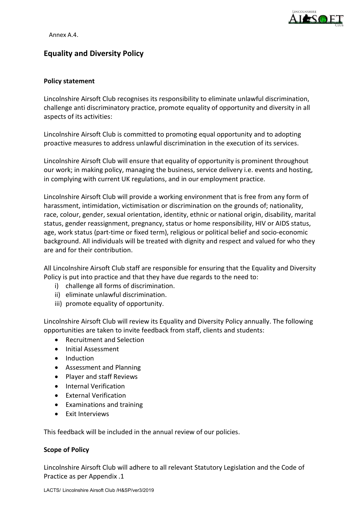

Annex A.4.

## **Equality and Diversity Policy**

#### **Policy statement**

Lincolnshire Airsoft Club recognises its responsibility to eliminate unlawful discrimination, challenge anti discriminatory practice, promote equality of opportunity and diversity in all aspects of its activities:

Lincolnshire Airsoft Club is committed to promoting equal opportunity and to adopting proactive measures to address unlawful discrimination in the execution of its services.

Lincolnshire Airsoft Club will ensure that equality of opportunity is prominent throughout our work; in making policy, managing the business, service delivery i.e. events and hosting, in complying with current UK regulations, and in our employment practice.

Lincolnshire Airsoft Club will provide a working environment that is free from any form of harassment, intimidation, victimisation or discrimination on the grounds of; nationality, race, colour, gender, sexual orientation, identity, ethnic or national origin, disability, marital status, gender reassignment, pregnancy, status or home responsibility, HIV or AIDS status, age, work status (part-time or fixed term), religious or political belief and socio-economic background. All individuals will be treated with dignity and respect and valued for who they are and for their contribution.

All Lincolnshire Airsoft Club staff are responsible for ensuring that the Equality and Diversity Policy is put into practice and that they have due regards to the need to:

- i) challenge all forms of discrimination.
- ii) eliminate unlawful discrimination.
- iii) promote equality of opportunity.

Lincolnshire Airsoft Club will review its Equality and Diversity Policy annually. The following opportunities are taken to invite feedback from staff, clients and students:

- Recruitment and Selection
- Initial Assessment
- Induction
- Assessment and Planning
- Player and staff Reviews
- Internal Verification
- External Verification
- Examinations and training
- Exit Interviews

This feedback will be included in the annual review of our policies.

#### **Scope of Policy**

Lincolnshire Airsoft Club will adhere to all relevant Statutory Legislation and the Code of Practice as per Appendix .1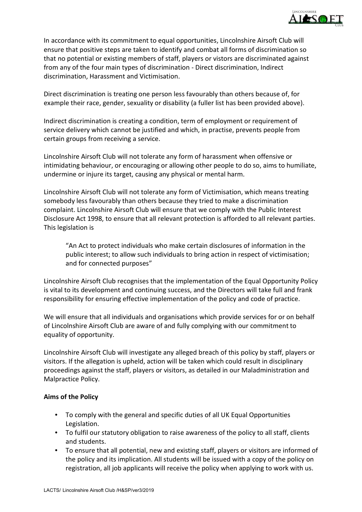

In accordance with its commitment to equal opportunities, Lincolnshire Airsoft Club will ensure that positive steps are taken to identify and combat all forms of discrimination so that no potential or existing members of staff, players or vistors are discriminated against from any of the four main types of discrimination - Direct discrimination, Indirect discrimination, Harassment and Victimisation.

Direct discrimination is treating one person less favourably than others because of, for example their race, gender, sexuality or disability (a fuller list has been provided above).

Indirect discrimination is creating a condition, term of employment or requirement of service delivery which cannot be justified and which, in practise, prevents people from certain groups from receiving a service.

Lincolnshire Airsoft Club will not tolerate any form of harassment when offensive or intimidating behaviour, or encouraging or allowing other people to do so, aims to humiliate, undermine or injure its target, causing any physical or mental harm.

Lincolnshire Airsoft Club will not tolerate any form of Victimisation, which means treating somebody less favourably than others because they tried to make a discrimination complaint. Lincolnshire Airsoft Club will ensure that we comply with the Public Interest Disclosure Act 1998, to ensure that all relevant protection is afforded to all relevant parties. This legislation is

"An Act to protect individuals who make certain disclosures of information in the public interest; to allow such individuals to bring action in respect of victimisation; and for connected purposes"

Lincolnshire Airsoft Club recognises that the implementation of the Equal Opportunity Policy is vital to its development and continuing success, and the Directors will take full and frank responsibility for ensuring effective implementation of the policy and code of practice.

We will ensure that all individuals and organisations which provide services for or on behalf of Lincolnshire Airsoft Club are aware of and fully complying with our commitment to equality of opportunity.

Lincolnshire Airsoft Club will investigate any alleged breach of this policy by staff, players or visitors. If the allegation is upheld, action will be taken which could result in disciplinary proceedings against the staff, players or visitors, as detailed in our Maladministration and Malpractice Policy.

#### **Aims of the Policy**

- To comply with the general and specific duties of all UK Equal Opportunities Legislation.
- To fulfil our statutory obligation to raise awareness of the policy to all staff, clients and students.
- To ensure that all potential, new and existing staff, players or visitors are informed of the policy and its implication. All students will be issued with a copy of the policy on registration, all job applicants will receive the policy when applying to work with us.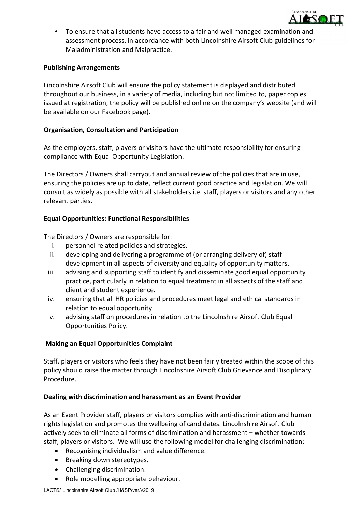

 To ensure that all students have access to a fair and well managed examination and assessment process, in accordance with both Lincolnshire Airsoft Club guidelines for Maladministration and Malpractice.

#### **Publishing Arrangements**

Lincolnshire Airsoft Club will ensure the policy statement is displayed and distributed throughout our business, in a variety of media, including but not limited to, paper copies issued at registration, the policy will be published online on the company's website (and will be available on our Facebook page).

#### **Organisation, Consultation and Participation**

As the employers, staff, players or visitors have the ultimate responsibility for ensuring compliance with Equal Opportunity Legislation.

The Directors / Owners shall carryout and annual review of the policies that are in use, ensuring the policies are up to date, reflect current good practice and legislation. We will consult as widely as possible with all stakeholders i.e. staff, players or visitors and any other relevant parties.

#### **Equal Opportunities: Functional Responsibilities**

The Directors / Owners are responsible for:

- i. personnel related policies and strategies.
- ii. developing and delivering a programme of (or arranging delivery of) staff development in all aspects of diversity and equality of opportunity matters.
- iii. advising and supporting staff to identify and disseminate good equal opportunity practice, particularly in relation to equal treatment in all aspects of the staff and client and student experience.
- iv. ensuring that all HR policies and procedures meet legal and ethical standards in relation to equal opportunity.
- v. advising staff on procedures in relation to the Lincolnshire Airsoft Club Equal Opportunities Policy.

## **Making an Equal Opportunities Complaint**

Staff, players or visitors who feels they have not been fairly treated within the scope of this policy should raise the matter through Lincolnshire Airsoft Club Grievance and Disciplinary Procedure.

#### **Dealing with discrimination and harassment as an Event Provider**

As an Event Provider staff, players or visitors complies with anti-discrimination and human rights legislation and promotes the wellbeing of candidates. Lincolnshire Airsoft Club actively seek to eliminate all forms of discrimination and harassment – whether towards staff, players or visitors. We will use the following model for challenging discrimination:

- Recognising individualism and value difference.
- Breaking down stereotypes.
- Challenging discrimination.
- Role modelling appropriate behaviour.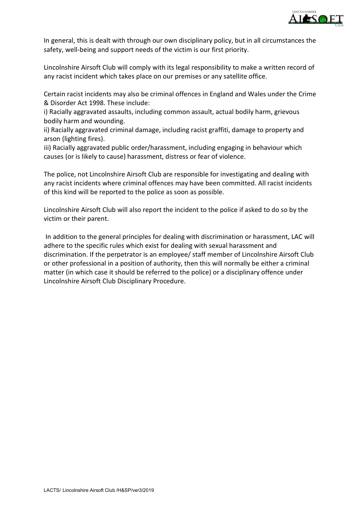

In general, this is dealt with through our own disciplinary policy, but in all circumstances the safety, well-being and support needs of the victim is our first priority.

Lincolnshire Airsoft Club will comply with its legal responsibility to make a written record of any racist incident which takes place on our premises or any satellite office.

Certain racist incidents may also be criminal offences in England and Wales under the Crime & Disorder Act 1998. These include:

i) Racially aggravated assaults, including common assault, actual bodily harm, grievous bodily harm and wounding.

ii) Racially aggravated criminal damage, including racist graffiti, damage to property and arson (lighting fires).

iii) Racially aggravated public order/harassment, including engaging in behaviour which causes (or is likely to cause) harassment, distress or fear of violence.

The police, not Lincolnshire Airsoft Club are responsible for investigating and dealing with any racist incidents where criminal offences may have been committed. All racist incidents of this kind will be reported to the police as soon as possible.

Lincolnshire Airsoft Club will also report the incident to the police if asked to do so by the victim or their parent.

In addition to the general principles for dealing with discrimination or harassment, LAC will adhere to the specific rules which exist for dealing with sexual harassment and discrimination. If the perpetrator is an employee/ staff member of Lincolnshire Airsoft Club or other professional in a position of authority, then this will normally be either a criminal matter (in which case it should be referred to the police) or a disciplinary offence under Lincolnshire Airsoft Club Disciplinary Procedure.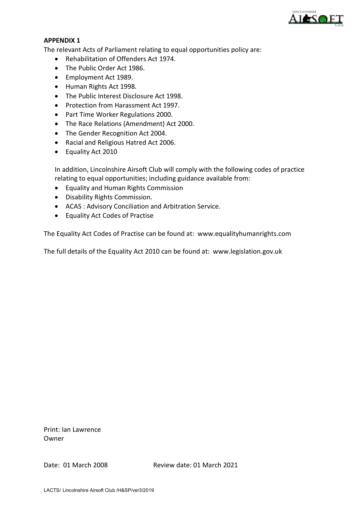

#### **APPENDIX 1**

The relevant Acts of Parliament relating to equal opportunities policy are:

- Rehabilitation of Offenders Act 1974.
- The Public Order Act 1986.
- Employment Act 1989.
- Human Rights Act 1998.
- The Public Interest Disclosure Act 1998.
- Protection from Harassment Act 1997.
- Part Time Worker Regulations 2000.
- The Race Relations (Amendment) Act 2000.
- The Gender Recognition Act 2004.
- Racial and Religious Hatred Act 2006.
- Equality Act 2010

In addition, Lincolnshire Airsoft Club will comply with the following codes of practice relating to equal opportunities; including guidance available from:

- Equality and Human Rights Commission
- Disability Rights Commission.
- ACAS : Advisory Conciliation and Arbitration Service.
- Equality Act Codes of Practise

The Equality Act Codes of Practise can be found at: www.equalityhumanrights.com

The full details of the Equality Act 2010 can be found at: www.legislation.gov.uk

Print: Ian Lawrence Owner

Date: 01 March 2008 Review date: 01 March 2021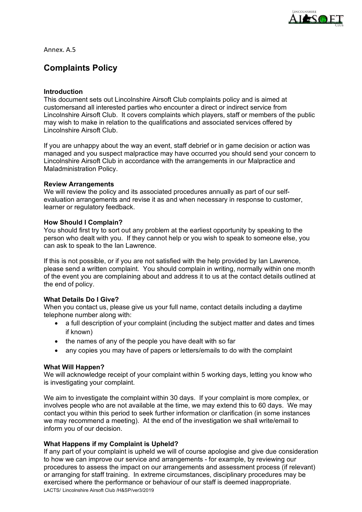

Annex. A.5

## **Complaints Policy**

#### **Introduction**

This document sets out Lincolnshire Airsoft Club complaints policy and is aimed at customersand all interested parties who encounter a direct or indirect service from Lincolnshire Airsoft Club. It covers complaints which players, staff or members of the public may wish to make in relation to the qualifications and associated services offered by Lincolnshire Airsoft Club.

If you are unhappy about the way an event, staff debrief or in game decision or action was managed and you suspect malpractice may have occurred you should send your concern to Lincolnshire Airsoft Club in accordance with the arrangements in our Malpractice and Maladministration Policy.

#### **Review Arrangements**

We will review the policy and its associated procedures annually as part of our selfevaluation arrangements and revise it as and when necessary in response to customer, learner or regulatory feedback.

#### **How Should I Complain?**

You should first try to sort out any problem at the earliest opportunity by speaking to the person who dealt with you. If they cannot help or you wish to speak to someone else, you can ask to speak to the Ian Lawrence.

If this is not possible, or if you are not satisfied with the help provided by Ian Lawrence, please send a written complaint. You should complain in writing, normally within one month of the event you are complaining about and address it to us at the contact details outlined at the end of policy.

#### **What Details Do I Give?**

When you contact us, please give us your full name, contact details including a daytime telephone number along with:

- a full description of your complaint (including the subject matter and dates and times if known)
- the names of any of the people you have dealt with so far
- any copies you may have of papers or letters/emails to do with the complaint

#### **What Will Happen?**

We will acknowledge receipt of your complaint within 5 working days, letting you know who is investigating your complaint.

We aim to investigate the complaint within 30 days. If your complaint is more complex, or involves people who are not available at the time, we may extend this to 60 days. We may contact you within this period to seek further information or clarification (in some instances we may recommend a meeting). At the end of the investigation we shall write/email to inform you of our decision.

#### **What Happens if my Complaint is Upheld?**

LACTS/ Lincolnshire Airsoft Club /H&SP/ver3/2019 If any part of your complaint is upheld we will of course apologise and give due consideration to how we can improve our service and arrangements - for example, by reviewing our procedures to assess the impact on our arrangements and assessment process (if relevant) or arranging for staff training. In extreme circumstances, disciplinary procedures may be exercised where the performance or behaviour of our staff is deemed inappropriate.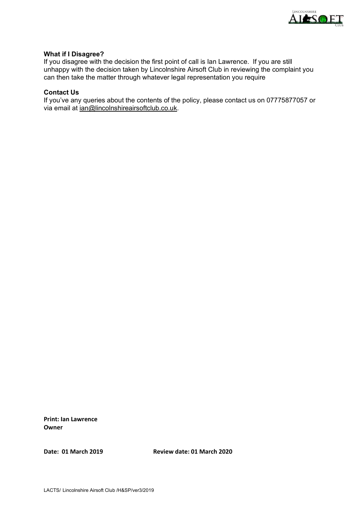

#### **What if I Disagree?**

If you disagree with the decision the first point of call is Ian Lawrence. If you are still unhappy with the decision taken by Lincolnshire Airsoft Club in reviewing the complaint you can then take the matter through whatever legal representation you require

#### **Contact Us**

If you've any queries about the contents of the policy, please contact us on 07775877057 or via email at [ian@lincolnshireairsoftclub.co.uk.](mailto:ian@lincolnshireairsoftclub.co.uk)

**Print: Ian Lawrence Owner**

**Date: 01 March 2019 Review date: 01 March 2020**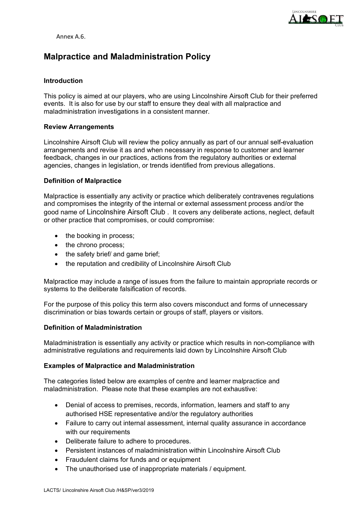

Annex A.6.

## **Malpractice and Maladministration Policy**

#### **Introduction**

This policy is aimed at our players, who are using Lincolnshire Airsoft Club for their preferred events. It is also for use by our staff to ensure they deal with all malpractice and maladministration investigations in a consistent manner.

#### **Review Arrangements**

Lincolnshire Airsoft Club will review the policy annually as part of our annual self-evaluation arrangements and revise it as and when necessary in response to customer and learner feedback, changes in our practices, actions from the regulatory authorities or external agencies, changes in legislation, or trends identified from previous allegations.

#### **Definition of Malpractice**

Malpractice is essentially any activity or practice which deliberately contravenes regulations and compromises the integrity of the internal or external assessment process and/or the good name of Lincolnshire Airsoft Club . It covers any deliberate actions, neglect, default or other practice that compromises, or could compromise:

- the booking in process;
- the chrono process;
- the safety brief/ and game brief;
- the reputation and credibility of Lincolnshire Airsoft Club

Malpractice may include a range of issues from the failure to maintain appropriate records or systems to the deliberate falsification of records.

For the purpose of this policy this term also covers misconduct and forms of unnecessary discrimination or bias towards certain or groups of staff, players or visitors.

#### **Definition of Maladministration**

Maladministration is essentially any activity or practice which results in non-compliance with administrative regulations and requirements laid down by Lincolnshire Airsoft Club

#### **Examples of Malpractice and Maladministration**

The categories listed below are examples of centre and learner malpractice and maladministration. Please note that these examples are not exhaustive:

- Denial of access to premises, records, information, learners and staff to any authorised HSE representative and/or the regulatory authorities
- Failure to carry out internal assessment, internal quality assurance in accordance with our requirements
- Deliberate failure to adhere to procedures.
- Persistent instances of maladministration within Lincolnshire Airsoft Club
- Fraudulent claims for funds and or equipment
- The unauthorised use of inappropriate materials / equipment.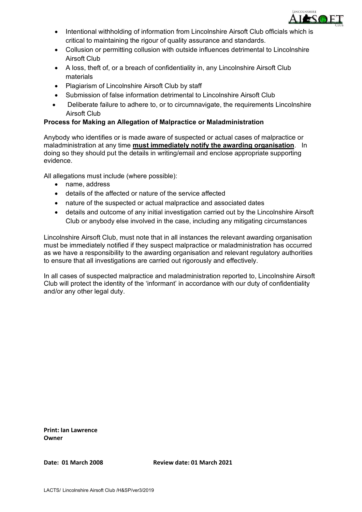

- Intentional withholding of information from Lincolnshire Airsoft Club officials which is critical to maintaining the rigour of quality assurance and standards.
- Collusion or permitting collusion with outside influences detrimental to Lincolnshire Airsoft Club
- A loss, theft of, or a breach of confidentiality in, any Lincolnshire Airsoft Club materials
- Plagiarism of Lincolnshire Airsoft Club by staff
- Submission of false information detrimental to Lincolnshire Airsoft Club
- Deliberate failure to adhere to, or to circumnavigate, the requirements Lincolnshire Airsoft Club

#### **Process for Making an Allegation of Malpractice or Maladministration**

Anybody who identifies or is made aware of suspected or actual cases of malpractice or maladministration at any time **must immediately notify the awarding organisation**. In doing so they should put the details in writing/email and enclose appropriate supporting evidence.

All allegations must include (where possible):

- name, address
- details of the affected or nature of the service affected
- nature of the suspected or actual malpractice and associated dates
- details and outcome of any initial investigation carried out by the Lincolnshire Airsoft Club or anybody else involved in the case, including any mitigating circumstances

Lincolnshire Airsoft Club, must note that in all instances the relevant awarding organisation must be immediately notified if they suspect malpractice or maladministration has occurred as we have a responsibility to the awarding organisation and relevant regulatory authorities to ensure that all investigations are carried out rigorously and effectively.

In all cases of suspected malpractice and maladministration reported to, Lincolnshire Airsoft Club will protect the identity of the 'informant' in accordance with our duty of confidentiality and/or any other legal duty.

**Print: Ian Lawrence Owner**

**Date: 01 March 2008 Review date: 01 March 2021**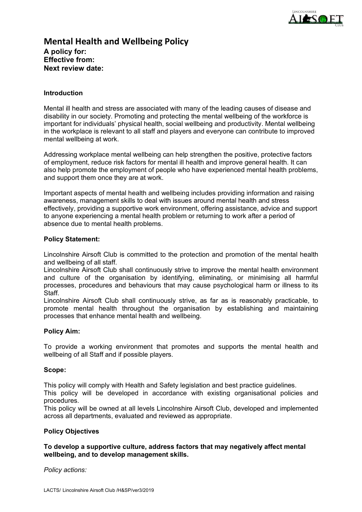

## **Mental Health and Wellbeing Policy A policy for: Effective from: Next review date:**

#### **Introduction**

Mental ill health and stress are associated with many of the leading causes of disease and disability in our society. Promoting and protecting the mental wellbeing of the workforce is important for individuals' physical health, social wellbeing and productivity. Mental wellbeing in the workplace is relevant to all staff and players and everyone can contribute to improved mental wellbeing at work.

Addressing workplace mental wellbeing can help strengthen the positive, protective factors of employment, reduce risk factors for mental ill health and improve general health. It can also help promote the employment of people who have experienced mental health problems, and support them once they are at work.

Important aspects of mental health and wellbeing includes providing information and raising awareness, management skills to deal with issues around mental health and stress effectively, providing a supportive work environment, offering assistance, advice and support to anyone experiencing a mental health problem or returning to work after a period of absence due to mental health problems.

#### **Policy Statement:**

Lincolnshire Airsoft Club is committed to the protection and promotion of the mental health and wellbeing of all staff.

Lincolnshire Airsoft Club shall continuously strive to improve the mental health environment and culture of the organisation by identifying, eliminating, or minimising all harmful processes, procedures and behaviours that may cause psychological harm or illness to its Staff.

Lincolnshire Airsoft Club shall continuously strive, as far as is reasonably practicable, to promote mental health throughout the organisation by establishing and maintaining processes that enhance mental health and wellbeing.

#### **Policy Aim:**

To provide a working environment that promotes and supports the mental health and wellbeing of all Staff and if possible players.

#### **Scope:**

This policy will comply with Health and Safety legislation and best practice guidelines.

This policy will be developed in accordance with existing organisational policies and procedures.

This policy will be owned at all levels Lincolnshire Airsoft Club, developed and implemented across all departments, evaluated and reviewed as appropriate.

#### **Policy Objectives**

#### **To develop a supportive culture, address factors that may negatively affect mental wellbeing, and to develop management skills.**

*Policy actions:*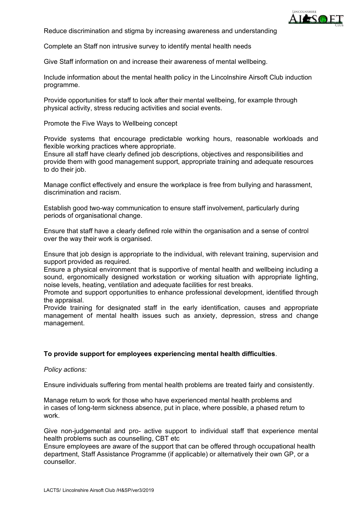

Reduce discrimination and stigma by increasing awareness and understanding

Complete an Staff non intrusive survey to identify mental health needs

Give Staff information on and increase their awareness of mental wellbeing.

Include information about the mental health policy in the Lincolnshire Airsoft Club induction programme.

Provide opportunities for staff to look after their mental wellbeing, for example through physical activity, stress reducing activities and social events.

Promote the Five Ways to Wellbeing concept

Provide systems that encourage predictable working hours, reasonable workloads and flexible working practices where appropriate.

Ensure all staff have clearly defined job descriptions, objectives and responsibilities and provide them with good management support, appropriate training and adequate resources to do their job.

Manage conflict effectively and ensure the workplace is free from bullying and harassment, discrimination and racism.

Establish good two-way communication to ensure staff involvement, particularly during periods of organisational change.

Ensure that staff have a clearly defined role within the organisation and a sense of control over the way their work is organised.

Ensure that job design is appropriate to the individual, with relevant training, supervision and support provided as required.

Ensure a physical environment that is supportive of mental health and wellbeing including a sound, ergonomically designed workstation or working situation with appropriate lighting, noise levels, heating, ventilation and adequate facilities for rest breaks.

Promote and support opportunities to enhance professional development, identified through the appraisal.

Provide training for designated staff in the early identification, causes and appropriate management of mental health issues such as anxiety, depression, stress and change management.

#### **To provide support for employees experiencing mental health difficulties**.

*Policy actions:*

Ensure individuals suffering from mental health problems are treated fairly and consistently.

Manage return to work for those who have experienced mental health problems and in cases of long-term sickness absence, put in place, where possible, a phased return to work.

Give non-judgemental and pro- active support to individual staff that experience mental health problems such as counselling, CBT etc

Ensure employees are aware of the support that can be offered through occupational health department, Staff Assistance Programme (if applicable) or alternatively their own GP, or a counsellor.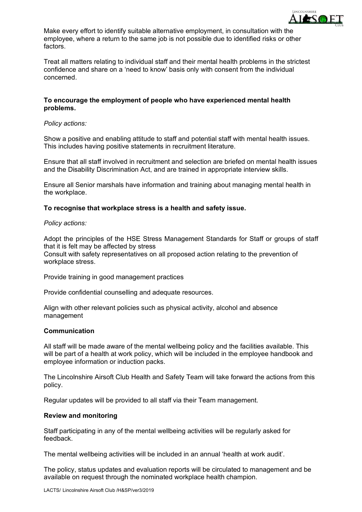

Make every effort to identify suitable alternative employment, in consultation with the employee, where a return to the same job is not possible due to identified risks or other factors.

Treat all matters relating to individual staff and their mental health problems in the strictest confidence and share on a 'need to know' basis only with consent from the individual concerned.

#### **To encourage the employment of people who have experienced mental health problems.**

#### *Policy actions:*

Show a positive and enabling attitude to staff and potential staff with mental health issues. This includes having positive statements in recruitment literature.

Ensure that all staff involved in recruitment and selection are briefed on mental health issues and the Disability Discrimination Act, and are trained in appropriate interview skills.

Ensure all Senior marshals have information and training about managing mental health in the workplace.

#### **To recognise that workplace stress is a health and safety issue.**

#### *Policy actions:*

Adopt the principles of the HSE Stress Management Standards for Staff or groups of staff that it is felt may be affected by stress Consult with safety representatives on all proposed action relating to the prevention of workplace stress.

Provide training in good management practices

Provide confidential counselling and adequate resources.

Align with other relevant policies such as physical activity, alcohol and absence management

#### **Communication**

All staff will be made aware of the mental wellbeing policy and the facilities available. This will be part of a health at work policy, which will be included in the employee handbook and employee information or induction packs.

The Lincolnshire Airsoft Club Health and Safety Team will take forward the actions from this policy.

Regular updates will be provided to all staff via their Team management.

#### **Review and monitoring**

Staff participating in any of the mental wellbeing activities will be regularly asked for feedback.

The mental wellbeing activities will be included in an annual 'health at work audit'.

The policy, status updates and evaluation reports will be circulated to management and be available on request through the nominated workplace health champion.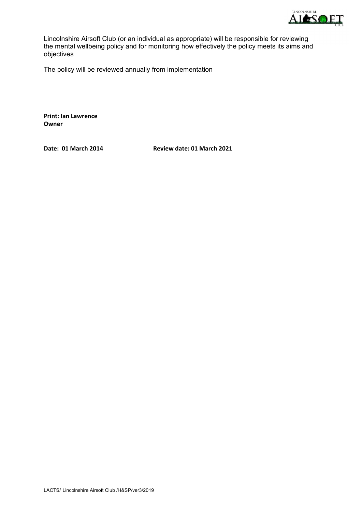

Lincolnshire Airsoft Club (or an individual as appropriate) will be responsible for reviewing the mental wellbeing policy and for monitoring how effectively the policy meets its aims and objectives

The policy will be reviewed annually from implementation

**Print: Ian Lawrence Owner**

**Date: 01 March 2014 Review date: 01 March 2021**